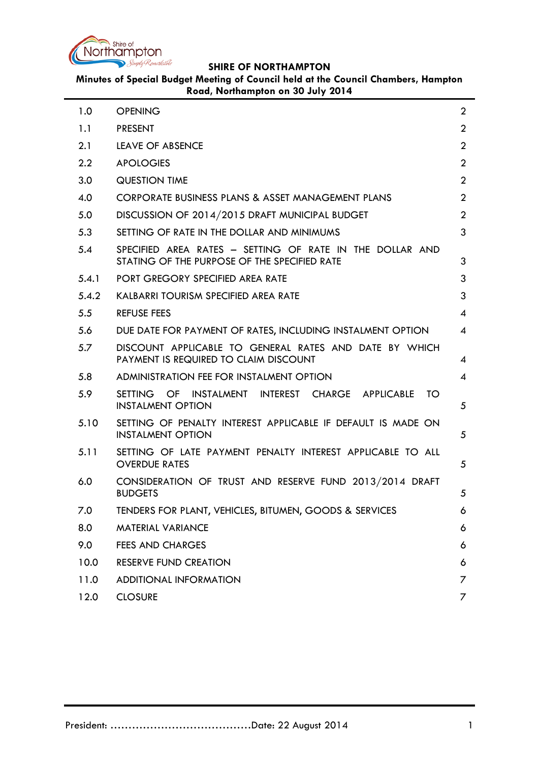

**Minutes of Special Budget Meeting of Council held at the Council Chambers, Hampton Road, Northampton on 30 July 2014**

| 1.0     | <b>OPENING</b>                                                                                           | $\overline{2}$           |
|---------|----------------------------------------------------------------------------------------------------------|--------------------------|
| 1.1     | <b>PRESENT</b>                                                                                           | $\overline{2}$           |
| 2.1     | <b>LEAVE OF ABSENCE</b>                                                                                  | $\overline{2}$           |
| $2.2\,$ | <b>APOLOGIES</b>                                                                                         | $\overline{2}$           |
| 3.0     | <b>QUESTION TIME</b>                                                                                     | $\overline{2}$           |
| 4.0     | CORPORATE BUSINESS PLANS & ASSET MANAGEMENT PLANS                                                        | $\overline{2}$           |
| 5.0     | DISCUSSION OF 2014/2015 DRAFT MUNICIPAL BUDGET                                                           | $\overline{2}$           |
| 5.3     | SETTING OF RATE IN THE DOLLAR AND MINIMUMS                                                               | 3                        |
| 5.4     | SPECIFIED AREA RATES - SETTING OF RATE IN THE DOLLAR AND<br>STATING OF THE PURPOSE OF THE SPECIFIED RATE | 3                        |
| 5.4.1   | PORT GREGORY SPECIFIED AREA RATE                                                                         | 3                        |
| 5.4.2   | KALBARRI TOURISM SPECIFIED AREA RATE                                                                     | 3                        |
| 5.5     | <b>REFUSE FEES</b>                                                                                       | 4                        |
| 5.6     | DUE DATE FOR PAYMENT OF RATES, INCLUDING INSTALMENT OPTION                                               | $\overline{\mathcal{A}}$ |
| 5.7     | DISCOUNT APPLICABLE TO GENERAL RATES AND DATE BY WHICH<br>PAYMENT IS REQUIRED TO CLAIM DISCOUNT          | 4                        |
| 5.8     | ADMINISTRATION FEE FOR INSTALMENT OPTION                                                                 | 4                        |
| 5.9     | <b>SETTING</b><br>OF INSTALMENT INTEREST CHARGE APPLICABLE<br>TO<br><b>INSTALMENT OPTION</b>             | 5                        |
| 5.10    | SETTING OF PENALTY INTEREST APPLICABLE IF DEFAULT IS MADE ON<br><b>INSTALMENT OPTION</b>                 | 5                        |
| 5.11    | SETTING OF LATE PAYMENT PENALTY INTEREST APPLICABLE TO ALL<br><b>OVERDUE RATES</b>                       | 5                        |
| 6.0     | CONSIDERATION OF TRUST AND RESERVE FUND 2013/2014 DRAFT<br><b>BUDGETS</b>                                | 5                        |
| 7.0     | TENDERS FOR PLANT, VEHICLES, BITUMEN, GOODS & SERVICES                                                   | 6                        |
| 8.0     | <b>MATERIAL VARIANCE</b>                                                                                 | 6                        |
| 9.0     | <b>FEES AND CHARGES</b>                                                                                  | 6                        |
| 10.0    | <b>RESERVE FUND CREATION</b>                                                                             | 6                        |
| 11.0    | <b>ADDITIONAL INFORMATION</b>                                                                            | 7                        |
| 12.0    | <b>CLOSURE</b>                                                                                           | 7                        |
|         |                                                                                                          |                          |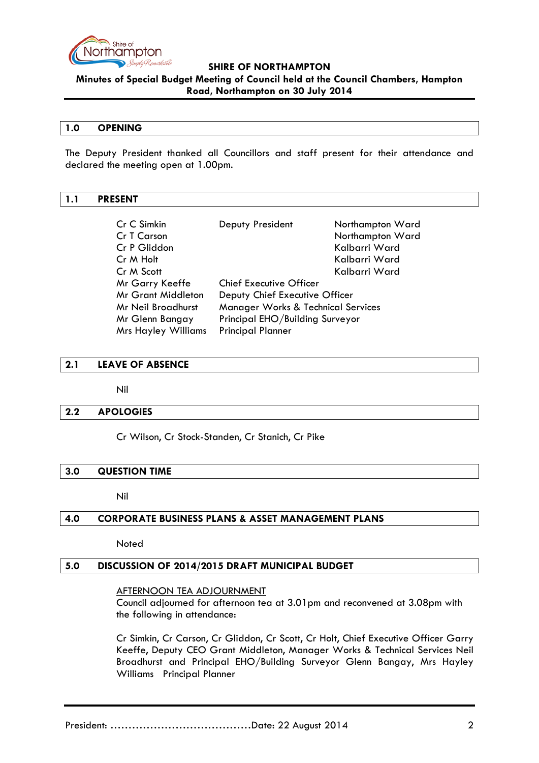

**Minutes of Special Budget Meeting of Council held at the Council Chambers, Hampton Road, Northampton on 30 July 2014**

### <span id="page-1-0"></span>**1.0 OPENING**

The Deputy President thanked all Councillors and staff present for their attendance and declared the meeting open at 1.00pm.

## <span id="page-1-1"></span>**1.1 PRESENT**

| Cr C Simkin                | Deputy President                   | Northampton Ward |  |
|----------------------------|------------------------------------|------------------|--|
| Cr T Carson                |                                    | Northampton Ward |  |
| Cr P Gliddon               |                                    | Kalbarri Ward    |  |
| Cr M Holt                  |                                    | Kalbarri Ward    |  |
| Cr M Scott                 |                                    | Kalbarri Ward    |  |
| Mr Garry Keeffe            | <b>Chief Executive Officer</b>     |                  |  |
| <b>Mr Grant Middleton</b>  | Deputy Chief Executive Officer     |                  |  |
| Mr Neil Broadhurst         | Manager Works & Technical Services |                  |  |
| Mr Glenn Bangay            | Principal EHO/Building Surveyor    |                  |  |
| <b>Mrs Hayley Williams</b> | <b>Principal Planner</b>           |                  |  |

## <span id="page-1-2"></span>**2.1 LEAVE OF ABSENCE**

Nil

### <span id="page-1-3"></span>**2.2 APOLOGIES**

Cr Wilson, Cr Stock-Standen, Cr Stanich, Cr Pike

## <span id="page-1-4"></span>**3.0 QUESTION TIME**

Nil

### <span id="page-1-5"></span>**4.0 CORPORATE BUSINESS PLANS & ASSET MANAGEMENT PLANS**

**Noted** 

### <span id="page-1-6"></span>**5.0 DISCUSSION OF 2014/2015 DRAFT MUNICIPAL BUDGET**

#### AFTERNOON TEA ADJOURNMENT

Council adjourned for afternoon tea at 3.01pm and reconvened at 3.08pm with the following in attendance:

Cr Simkin, Cr Carson, Cr Gliddon, Cr Scott, Cr Holt, Chief Executive Officer Garry Keeffe, Deputy CEO Grant Middleton, Manager Works & Technical Services Neil Broadhurst and Principal EHO/Building Surveyor Glenn Bangay, Mrs Hayley Williams Principal Planner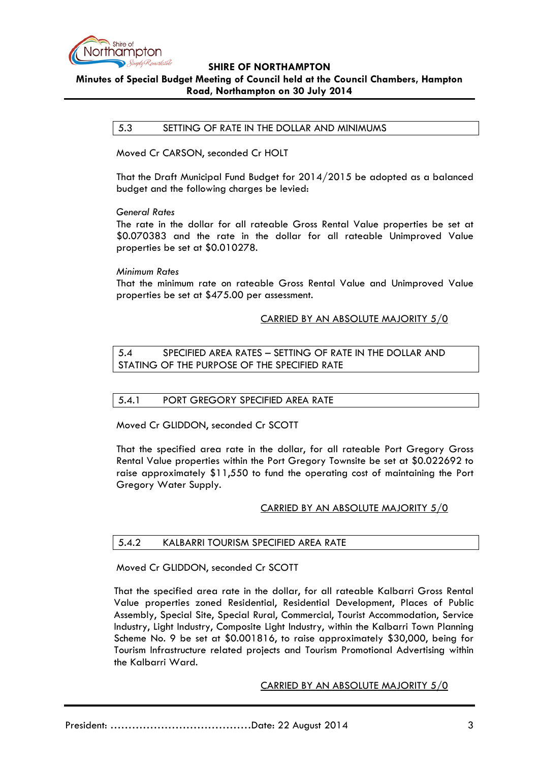

## <span id="page-2-0"></span>**Minutes of Special Budget Meeting of Council held at the Council Chambers, Hampton Road, Northampton on 30 July 2014**

## 5.3 SETTING OF RATE IN THE DOLLAR AND MINIMUMS

Moved Cr CARSON, seconded Cr HOLT

That the Draft Municipal Fund Budget for 2014/2015 be adopted as a balanced budget and the following charges be levied:

### *General Rates*

The rate in the dollar for all rateable Gross Rental Value properties be set at \$0.070383 and the rate in the dollar for all rateable Unimproved Value properties be set at \$0.010278.

### *Minimum Rates*

That the minimum rate on rateable Gross Rental Value and Unimproved Value properties be set at \$475.00 per assessment.

## CARRIED BY AN ABSOLUTE MAJORITY 5/0

<span id="page-2-1"></span>5.4 SPECIFIED AREA RATES – SETTING OF RATE IN THE DOLLAR AND STATING OF THE PURPOSE OF THE SPECIFIED RATE

## <span id="page-2-2"></span>5.4.1 PORT GREGORY SPECIFIED AREA RATE

Moved Cr GLIDDON, seconded Cr SCOTT

That the specified area rate in the dollar, for all rateable Port Gregory Gross Rental Value properties within the Port Gregory Townsite be set at \$0.022692 to raise approximately \$11,550 to fund the operating cost of maintaining the Port Gregory Water Supply.

## CARRIED BY AN ABSOLUTE MAJORITY 5/0

### <span id="page-2-3"></span>5.4.2 KALBARRI TOURISM SPECIFIED AREA RATE

Moved Cr GLIDDON, seconded Cr SCOTT

That the specified area rate in the dollar, for all rateable Kalbarri Gross Rental Value properties zoned Residential, Residential Development, Places of Public Assembly, Special Site, Special Rural, Commercial, Tourist Accommodation, Service Industry, Light Industry, Composite Light Industry, within the Kalbarri Town Planning Scheme No. 9 be set at \$0.001816, to raise approximately \$30,000, being for Tourism Infrastructure related projects and Tourism Promotional Advertising within the Kalbarri Ward.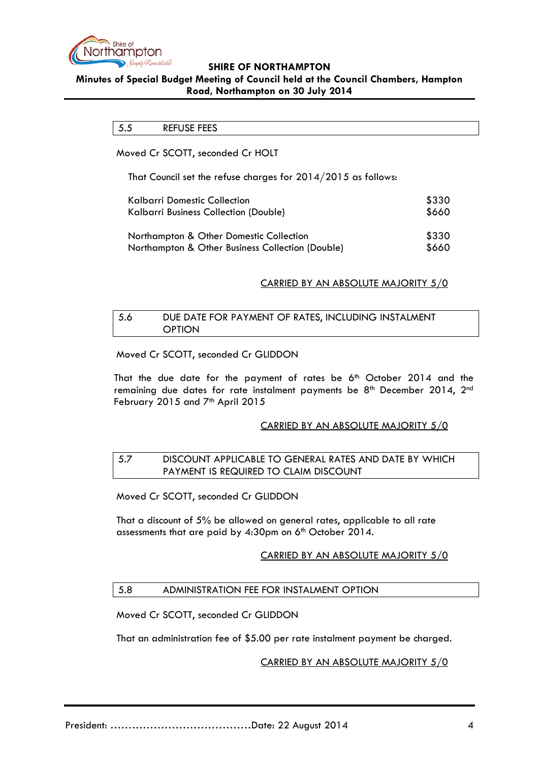

# <span id="page-3-0"></span>**Minutes of Special Budget Meeting of Council held at the Council Chambers, Hampton Road, Northampton on 30 July 2014**

5.5 REFUSE FEES

Moved Cr SCOTT, seconded Cr HOLT

That Council set the refuse charges for 2014/2015 as follows:

| Kalbarri Domestic Collection                     | \$330 |
|--------------------------------------------------|-------|
| Kalbarri Business Collection (Double)            | \$660 |
| Northampton & Other Domestic Collection          | \$330 |
| Northampton & Other Business Collection (Double) | \$660 |

## CARRIED BY AN ABSOLUTE MAJORITY 5/0

## <span id="page-3-1"></span>5.6 DUE DATE FOR PAYMENT OF RATES, INCLUDING INSTALMENT **OPTION**

Moved Cr SCOTT, seconded Cr GLIDDON

That the due date for the payment of rates be  $6<sup>th</sup>$  October 2014 and the remaining due dates for rate instalment payments be  $8<sup>th</sup>$  December 2014, 2<sup>nd</sup> February 2015 and  $7<sup>th</sup>$  April 2015

## CARRIED BY AN ABSOLUTE MAJORITY 5/0

## <span id="page-3-2"></span>5.7 DISCOUNT APPLICABLE TO GENERAL RATES AND DATE BY WHICH PAYMENT IS REQUIRED TO CLAIM DISCOUNT

Moved Cr SCOTT, seconded Cr GLIDDON

That a discount of 5% be allowed on general rates, applicable to all rate assessments that are paid by 4:30pm on 6<sup>th</sup> October 2014.

## CARRIED BY AN ABSOLUTE MAJORITY 5/0

## <span id="page-3-3"></span>5.8 ADMINISTRATION FEE FOR INSTALMENT OPTION

Moved Cr SCOTT, seconded Cr GLIDDON

That an administration fee of \$5.00 per rate instalment payment be charged.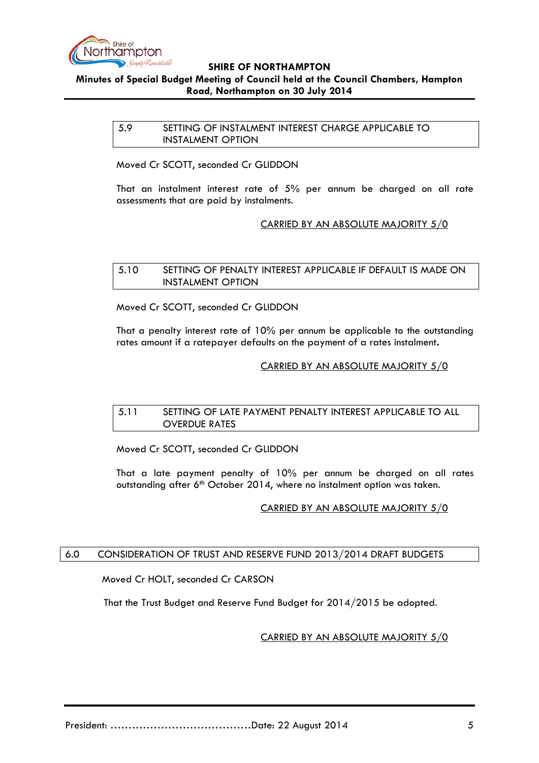

# <span id="page-4-0"></span>**Minutes of Special Budget Meeting of Council held at the Council Chambers, Hampton Road, Northampton on 30 July 2014**

5.9 SETTING OF INSTALMENT INTEREST CHARGE APPLICABLE TO INSTALMENT OPTION

Moved Cr SCOTT, seconded Cr GLIDDON

That an instalment interest rate of 5% per annum be charged on all rate assessments that are paid by instalments.

## CARRIED BY AN ABSOLUTE MAJORITY 5/0

#### <span id="page-4-1"></span>5.10 SETTING OF PENALTY INTEREST APPLICABLE IF DEFAULT IS MADE ON INSTALMENT OPTION

Moved Cr SCOTT, seconded Cr GLIDDON

That a penalty interest rate of 10% per annum be applicable to the outstanding rates amount if a ratepayer defaults on the payment of a rates instalment**.**

## CARRIED BY AN ABSOLUTE MAJORITY 5/0

### <span id="page-4-2"></span>5.11 SETTING OF LATE PAYMENT PENALTY INTEREST APPLICABLE TO ALL OVERDUE RATES

Moved Cr SCOTT, seconded Cr GLIDDON

That a late payment penalty of 10% per annum be charged on all rates outstanding after 6<sup>th</sup> October 2014, where no instalment option was taken.

## CARRIED BY AN ABSOLUTE MAJORITY 5/0

### <span id="page-4-3"></span>6.0 CONSIDERATION OF TRUST AND RESERVE FUND 2013/2014 DRAFT BUDGETS

Moved Cr HOLT, seconded Cr CARSON

That the Trust Budget and Reserve Fund Budget for 2014/2015 be adopted.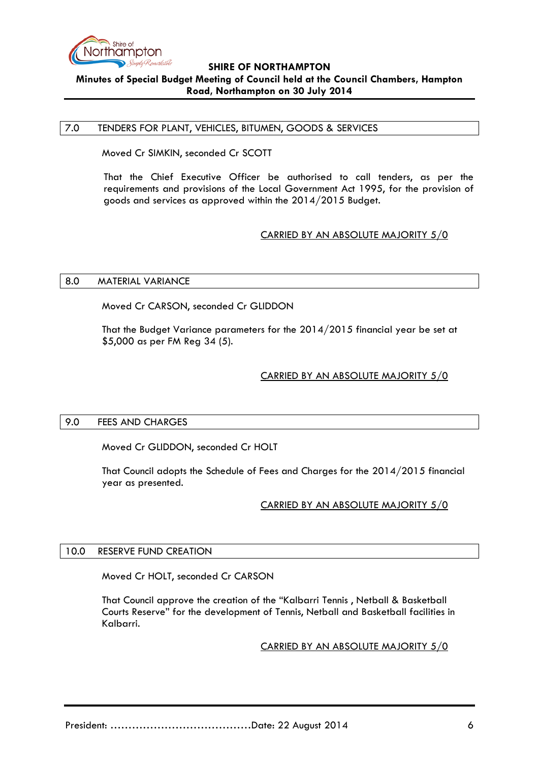

## **SHIRE OF NORTHAMPTON Minutes of Special Budget Meeting of Council held at the Council Chambers, Hampton Road, Northampton on 30 July 2014**

#### <span id="page-5-0"></span>7.0 TENDERS FOR PLANT, VEHICLES, BITUMEN, GOODS & SERVICES

Moved Cr SIMKIN, seconded Cr SCOTT

That the Chief Executive Officer be authorised to call tenders, as per the requirements and provisions of the Local Government Act 1995, for the provision of goods and services as approved within the 2014/2015 Budget.

## CARRIED BY AN ABSOLUTE MAJORITY 5/0

#### <span id="page-5-1"></span>8.0 MATERIAL VARIANCE

Moved Cr CARSON, seconded Cr GLIDDON

That the Budget Variance parameters for the 2014/2015 financial year be set at \$5,000 as per FM Reg 34 (5).

## CARRIED BY AN ABSOLUTE MAJORITY 5/0

### <span id="page-5-2"></span>9.0 FEES AND CHARGES

Moved Cr GLIDDON, seconded Cr HOLT

That Council adopts the Schedule of Fees and Charges for the 2014/2015 financial year as presented.

## CARRIED BY AN ABSOLUTE MAJORITY 5/0

### <span id="page-5-3"></span>10.0 RESERVE FUND CREATION

Moved Cr HOLT, seconded Cr CARSON

That Council approve the creation of the "Kalbarri Tennis , Netball & Basketball Courts Reserve" for the development of Tennis, Netball and Basketball facilities in Kalbarri.